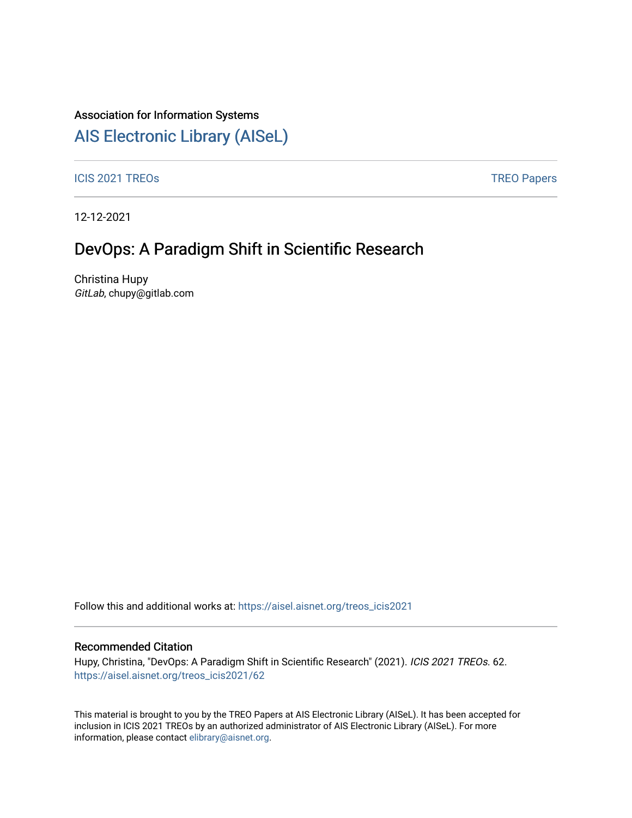### Association for Information Systems

## [AIS Electronic Library \(AISeL\)](https://aisel.aisnet.org/)

ICIS 2021 TREOS **TREOS** TREO Papers

12-12-2021

## DevOps: A Paradigm Shift in Scientific Research

Christina Hupy GitLab, chupy@gitlab.com

Follow this and additional works at: [https://aisel.aisnet.org/treos\\_icis2021](https://aisel.aisnet.org/treos_icis2021?utm_source=aisel.aisnet.org%2Ftreos_icis2021%2F62&utm_medium=PDF&utm_campaign=PDFCoverPages) 

#### Recommended Citation

Hupy, Christina, "DevOps: A Paradigm Shift in Scientific Research" (2021). ICIS 2021 TREOs. 62. [https://aisel.aisnet.org/treos\\_icis2021/62](https://aisel.aisnet.org/treos_icis2021/62?utm_source=aisel.aisnet.org%2Ftreos_icis2021%2F62&utm_medium=PDF&utm_campaign=PDFCoverPages) 

This material is brought to you by the TREO Papers at AIS Electronic Library (AISeL). It has been accepted for inclusion in ICIS 2021 TREOs by an authorized administrator of AIS Electronic Library (AISeL). For more information, please contact [elibrary@aisnet.org.](mailto:elibrary@aisnet.org%3E)